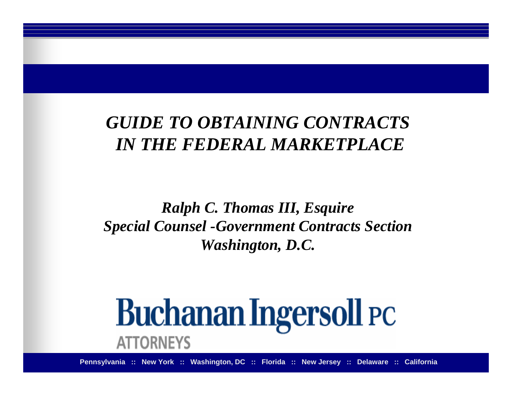## *GUIDE TO OBTAINING CONTRACTSIN THE FEDERAL MARKETPLACE*

### *Ralph C. Thomas III, Esquire Special Counsel -Government Contracts Section Washington, D.C.*

# **Buchanan Ingersoll PC ATTORNEYS**

**Pennsylvania :: New York :: Washington, DC :: Florida :: New Jersey :: Delaware :: California**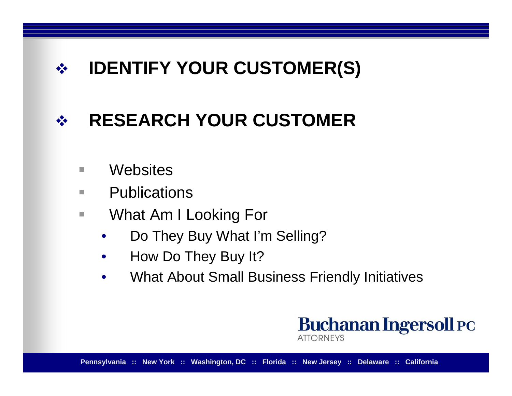#### $\frac{1}{2}$ **IDENTIFY YOUR CUSTOMER(S)**

#### $\frac{1}{2}$ **RESEARCH YOUR CUSTOMER**

- **I Websites**
- **Tale E** Publications
- $\overline{\phantom{a}}$  What Am I Looking For
	- •Do They Buy What I'm Selling?
	- $\bullet$ How Do They Buy It?
	- •What About Small Business Friendly Initiatives

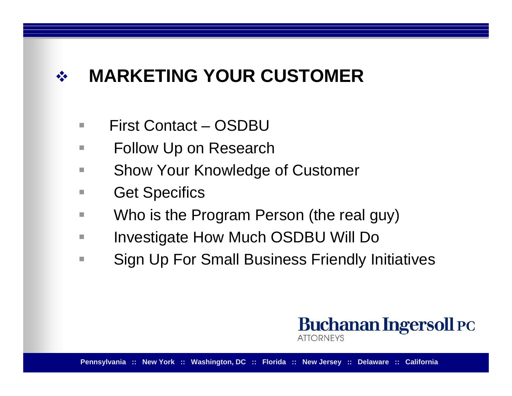#### $\frac{1}{2}$ **MARKETING YOUR CUSTOMER**

- $\blacksquare$ First Contact – OSDBU
- **Tale** Follow Up on Research
- **Tale** Show Your Knowledge of Customer
- **Tale** Get Specifics
- **In** Who is the Program Person (the real guy)
- **Tale** Investigate How Much OSDBU Will Do
- **The State** Sign Up For Small Business Friendly Initiatives

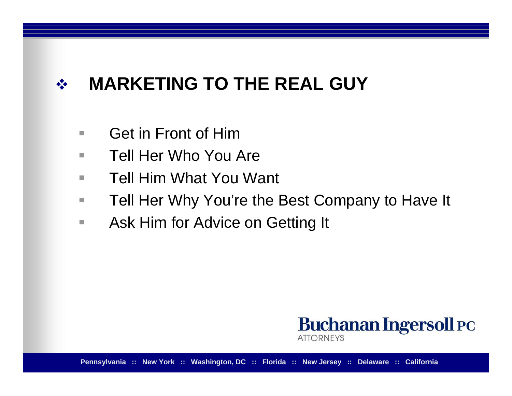#### $\begin{picture}(180,10) \put(0,0){\line(1,0){15}} \put(10,0){\line(1,0){15}} \put(10,0){\line(1,0){15}} \put(10,0){\line(1,0){15}} \put(10,0){\line(1,0){15}} \put(10,0){\line(1,0){15}} \put(10,0){\line(1,0){15}} \put(10,0){\line(1,0){15}} \put(10,0){\line(1,0){15}} \put(10,0){\line(1,0){15}} \put(10,0){\line(1,0){15}} \put(10,0){\line($ **MARKETING TO THE REAL GUY**

- $\mathcal{L}_{\mathcal{A}}$ Get in Front of Him
- $\blacksquare$ Tell Her Who You Are
- п Tell Him What You Want
- H. Tell Her Why You're the Best Company to Have It
- $\mathcal{L}_{\mathcal{A}}$ Ask Him for Advice on Getting It

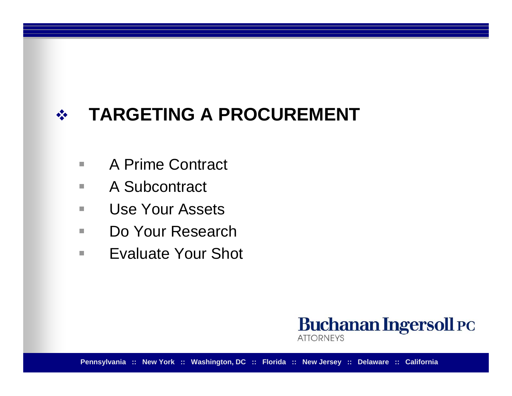#### $\frac{1}{2}$ **TARGETING A PROCUREMENT**

- $\overline{\phantom{a}}$ A Prime Contract
- $\mathcal{L}_{\mathcal{A}}$ A Subcontract
- $\overline{\phantom{a}}$ Use Your Assets
- $\mathcal{L}_{\mathcal{A}}$ Do Your Research
- $\mathbf{r}$ Evaluate Your Shot



**Pennsylvania :: New York :: Washington, DC :: Florida :: New Jersey :: Delaware :: California**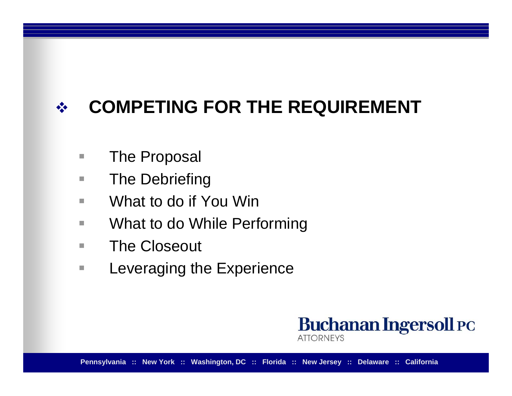#### $\frac{1}{2}$ **COMPETING FOR THE REQUIREMENT**

- п The Proposal
- H. The Debriefing
- $\mathcal{L}_{\mathcal{A}}$ What to do if You Win
- $\blacksquare$ What to do While Performing
- $\mathcal{L}_{\mathcal{A}}$ The Closeout
- $\overline{\phantom{a}}$ Leveraging the Experience

**Buchanan Ingersoll PC ATTORNEYS**